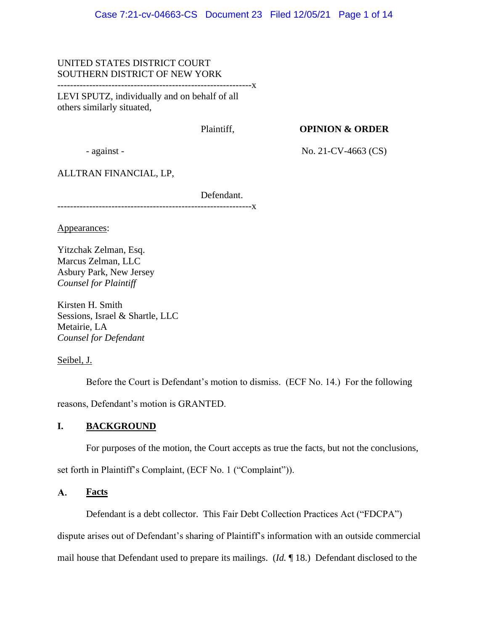# UNITED STATES DISTRICT COURT SOUTHERN DISTRICT OF NEW YORK

-------------------------------------------------------------x

LEVI SPUTZ, individually and on behalf of all others similarly situated,

Plaintiff,

**OPINION & ORDER**

- against -

No. 21-CV-4663 (CS)

ALLTRAN FINANCIAL, LP,

Defendant. ---------------**x** 

Appearances:

Yitzchak Zelman, Esq. Marcus Zelman, LLC Asbury Park, New Jersey *Counsel for Plaintiff*

Kirsten H. Smith Sessions, Israel & Shartle, LLC Metairie, LA *Counsel for Defendant*

Seibel, J.

Before the Court is Defendant's motion to dismiss. (ECF No. 14.) For the following reasons, Defendant's motion is GRANTED.

# **I. BACKGROUND**

For purposes of the motion, the Court accepts as true the facts, but not the conclusions,

set forth in Plaintiff's Complaint, (ECF No. 1 ("Complaint")).

### $\mathbf{A}$ . **Facts**

Defendant is a debt collector. This Fair Debt Collection Practices Act ("FDCPA")

dispute arises out of Defendant's sharing of Plaintiff's information with an outside commercial

mail house that Defendant used to prepare its mailings. (*Id.* ¶ 18.) Defendant disclosed to the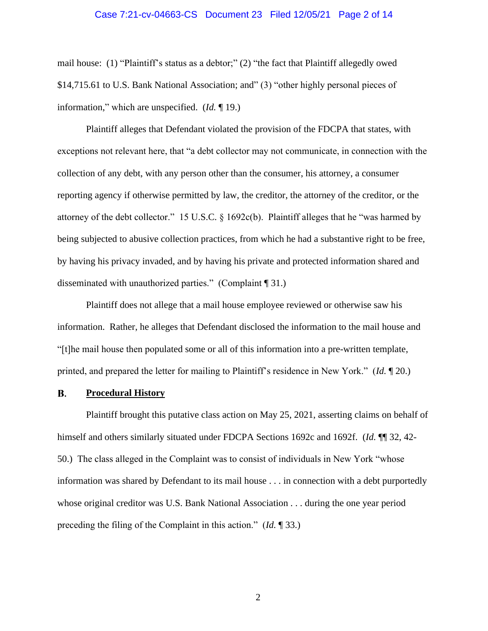### Case 7:21-cv-04663-CS Document 23 Filed 12/05/21 Page 2 of 14

mail house: (1) "Plaintiff's status as a debtor;" (2) "the fact that Plaintiff allegedly owed \$14,715.61 to U.S. Bank National Association; and" (3) "other highly personal pieces of information," which are unspecified. (*Id.* ¶ 19.)

Plaintiff alleges that Defendant violated the provision of the FDCPA that states, with exceptions not relevant here, that "a debt collector may not communicate, in connection with the collection of any debt, with any person other than the consumer, his attorney, a consumer reporting agency if otherwise permitted by law, the creditor, the attorney of the creditor, or the attorney of the debt collector." 15 U.S.C. § 1692c(b). Plaintiff alleges that he "was harmed by being subjected to abusive collection practices, from which he had a substantive right to be free, by having his privacy invaded, and by having his private and protected information shared and disseminated with unauthorized parties." (Complaint ¶ 31.)

Plaintiff does not allege that a mail house employee reviewed or otherwise saw his information. Rather, he alleges that Defendant disclosed the information to the mail house and "[t]he mail house then populated some or all of this information into a pre-written template, printed, and prepared the letter for mailing to Plaintiff's residence in New York." (*Id.* ¶ 20.)

#### **B. Procedural History**

Plaintiff brought this putative class action on May 25, 2021, asserting claims on behalf of himself and others similarly situated under FDCPA Sections 1692c and 1692f. (*Id.*  $\P$  32, 42-50.) The class alleged in the Complaint was to consist of individuals in New York "whose information was shared by Defendant to its mail house . . . in connection with a debt purportedly whose original creditor was U.S. Bank National Association . . . during the one year period preceding the filing of the Complaint in this action." (*Id.* ¶ 33.)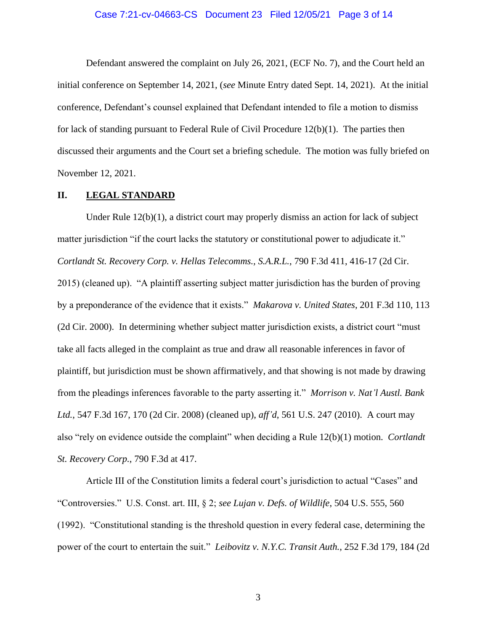# Case 7:21-cv-04663-CS Document 23 Filed 12/05/21 Page 3 of 14

Defendant answered the complaint on July 26, 2021, (ECF No. 7), and the Court held an initial conference on September 14, 2021, (*see* Minute Entry dated Sept. 14, 2021). At the initial conference, Defendant's counsel explained that Defendant intended to file a motion to dismiss for lack of standing pursuant to Federal Rule of Civil Procedure 12(b)(1). The parties then discussed their arguments and the Court set a briefing schedule. The motion was fully briefed on November 12, 2021.

# **II. LEGAL STANDARD**

Under Rule 12(b)(1), a district court may properly dismiss an action for lack of subject matter jurisdiction "if the court lacks the statutory or constitutional power to adjudicate it." *Cortlandt St. Recovery Corp. v. Hellas Telecomms., S.A.R.L.*, 790 F.3d 411, 416-17 (2d Cir. 2015) (cleaned up). "A plaintiff asserting subject matter jurisdiction has the burden of proving by a preponderance of the evidence that it exists." *Makarova v. United States*, 201 F.3d 110, 113 (2d Cir. 2000). In determining whether subject matter jurisdiction exists, a district court "must take all facts alleged in the complaint as true and draw all reasonable inferences in favor of plaintiff, but jurisdiction must be shown affirmatively, and that showing is not made by drawing from the pleadings inferences favorable to the party asserting it." *Morrison v. Nat'l Austl. Bank Ltd.*, 547 F.3d 167, 170 (2d Cir. 2008) (cleaned up), *aff'd*, 561 U.S. 247 (2010). A court may also "rely on evidence outside the complaint" when deciding a Rule 12(b)(1) motion. *Cortlandt St. Recovery Corp.*, 790 F.3d at 417.

Article III of the Constitution limits a federal court's jurisdiction to actual "Cases" and "Controversies." U.S. Const. art. III, § 2; *see Lujan v. Defs. of Wildlife*, 504 U.S. 555, 560 (1992). "Constitutional standing is the threshold question in every federal case, determining the power of the court to entertain the suit." *Leibovitz v. N.Y.C. Transit Auth.*, 252 F.3d 179, 184 (2d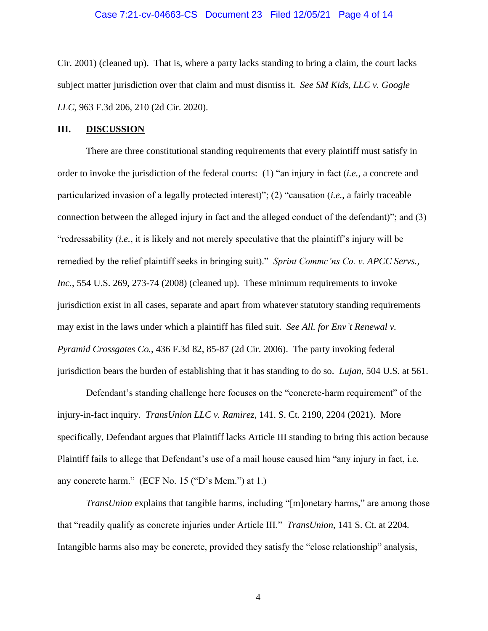# Case 7:21-cv-04663-CS Document 23 Filed 12/05/21 Page 4 of 14

Cir. 2001) (cleaned up). That is, where a party lacks standing to bring a claim, the court lacks subject matter jurisdiction over that claim and must dismiss it. *See SM Kids, LLC v. Google LLC*, 963 F.3d 206, 210 (2d Cir. 2020).

# **III. DISCUSSION**

There are three constitutional standing requirements that every plaintiff must satisfy in order to invoke the jurisdiction of the federal courts: (1) "an injury in fact (*i.e.*, a concrete and particularized invasion of a legally protected interest)"; (2) "causation (*i.e.*, a fairly traceable connection between the alleged injury in fact and the alleged conduct of the defendant)"; and (3) "redressability (*i.e.*, it is likely and not merely speculative that the plaintiff's injury will be remedied by the relief plaintiff seeks in bringing suit)." *Sprint Commc'ns Co. v. APCC Servs., Inc.*, 554 U.S. 269, 273-74 (2008) (cleaned up). These minimum requirements to invoke jurisdiction exist in all cases, separate and apart from whatever statutory standing requirements may exist in the laws under which a plaintiff has filed suit. *See All. for Env't Renewal v. Pyramid Crossgates Co.*, 436 F.3d 82, 85-87 (2d Cir. 2006). The party invoking federal jurisdiction bears the burden of establishing that it has standing to do so. *Lujan*, 504 U.S. at 561.

Defendant's standing challenge here focuses on the "concrete-harm requirement" of the injury-in-fact inquiry. *TransUnion LLC v. Ramirez*, 141. S. Ct. 2190, 2204 (2021). More specifically, Defendant argues that Plaintiff lacks Article III standing to bring this action because Plaintiff fails to allege that Defendant's use of a mail house caused him "any injury in fact, i.e. any concrete harm." (ECF No. 15 ("D's Mem.") at 1.)

*TransUnion* explains that tangible harms, including "[m]onetary harms," are among those that "readily qualify as concrete injuries under Article III." *TransUnion*, 141 S. Ct. at 2204*.* Intangible harms also may be concrete, provided they satisfy the "close relationship" analysis,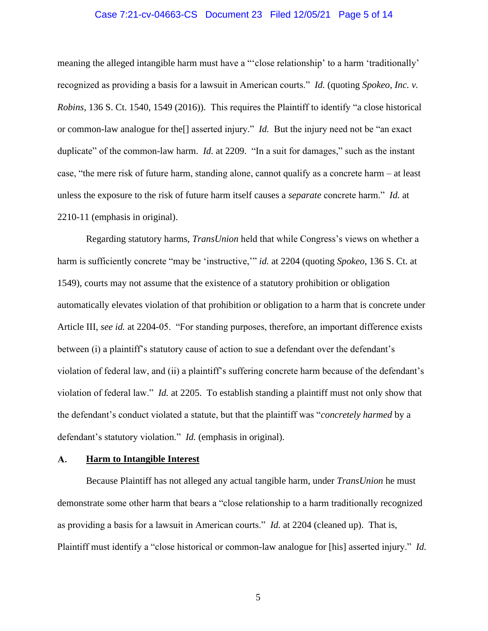# Case 7:21-cv-04663-CS Document 23 Filed 12/05/21 Page 5 of 14

meaning the alleged intangible harm must have a "'close relationship' to a harm 'traditionally' recognized as providing a basis for a lawsuit in American courts." *Id.* (quoting *Spokeo, Inc. v. Robins*, 136 S. Ct. 1540, 1549 (2016)). This requires the Plaintiff to identify "a close historical or common-law analogue for the[] asserted injury." *Id.* But the injury need not be "an exact duplicate" of the common-law harm. *Id.* at 2209. "In a suit for damages," such as the instant case, "the mere risk of future harm, standing alone, cannot qualify as a concrete harm – at least unless the exposure to the risk of future harm itself causes a *separate* concrete harm." *Id.* at 2210-11 (emphasis in original).

Regarding statutory harms, *TransUnion* held that while Congress's views on whether a harm is sufficiently concrete "may be 'instructive,'" *id.* at 2204 (quoting *Spokeo*, 136 S. Ct. at 1549), courts may not assume that the existence of a statutory prohibition or obligation automatically elevates violation of that prohibition or obligation to a harm that is concrete under Article III, *see id.* at 2204-05. "For standing purposes, therefore, an important difference exists between (i) a plaintiff's statutory cause of action to sue a defendant over the defendant's violation of federal law, and (ii) a plaintiff's suffering concrete harm because of the defendant's violation of federal law." *Id.* at 2205. To establish standing a plaintiff must not only show that the defendant's conduct violated a statute, but that the plaintiff was "*concretely harmed* by a defendant's statutory violation." *Id.* (emphasis in original).

#### A. **Harm to Intangible Interest**

Because Plaintiff has not alleged any actual tangible harm, under *TransUnion* he must demonstrate some other harm that bears a "close relationship to a harm traditionally recognized as providing a basis for a lawsuit in American courts." *Id.* at 2204 (cleaned up). That is, Plaintiff must identify a "close historical or common-law analogue for [his] asserted injury." *Id.*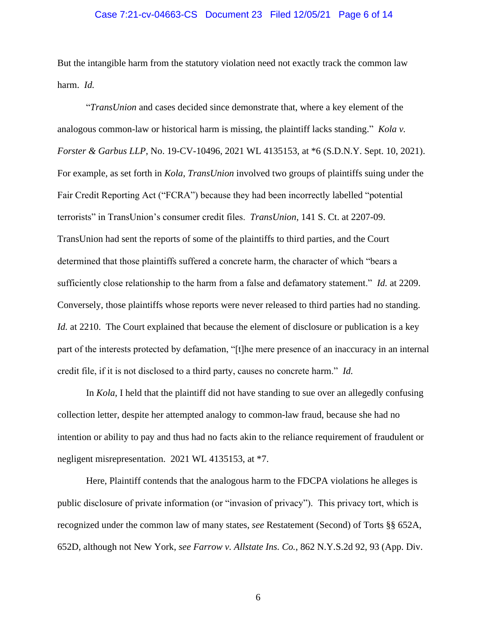# Case 7:21-cv-04663-CS Document 23 Filed 12/05/21 Page 6 of 14

But the intangible harm from the statutory violation need not exactly track the common law harm. *Id.*

"*TransUnion* and cases decided since demonstrate that, where a key element of the analogous common-law or historical harm is missing, the plaintiff lacks standing." *Kola v. Forster & Garbus LLP*, No. 19-CV-10496, 2021 WL 4135153, at \*6 (S.D.N.Y. Sept. 10, 2021). For example, as set forth in *Kola*, *TransUnion* involved two groups of plaintiffs suing under the Fair Credit Reporting Act ("FCRA") because they had been incorrectly labelled "potential terrorists" in TransUnion's consumer credit files. *TransUnion*, 141 S. Ct. at 2207-09. TransUnion had sent the reports of some of the plaintiffs to third parties, and the Court determined that those plaintiffs suffered a concrete harm, the character of which "bears a sufficiently close relationship to the harm from a false and defamatory statement." *Id.* at 2209. Conversely, those plaintiffs whose reports were never released to third parties had no standing. *Id.* at 2210. The Court explained that because the element of disclosure or publication is a key part of the interests protected by defamation, "[t]he mere presence of an inaccuracy in an internal credit file, if it is not disclosed to a third party, causes no concrete harm." *Id.*

In *Kola*, I held that the plaintiff did not have standing to sue over an allegedly confusing collection letter, despite her attempted analogy to common-law fraud, because she had no intention or ability to pay and thus had no facts akin to the reliance requirement of fraudulent or negligent misrepresentation. 2021 WL 4135153, at \*7.

Here, Plaintiff contends that the analogous harm to the FDCPA violations he alleges is public disclosure of private information (or "invasion of privacy"). This privacy tort, which is recognized under the common law of many states, *see* Restatement (Second) of Torts §§ 652A, 652D, although not New York, *see Farrow v. Allstate Ins. Co.*, 862 N.Y.S.2d 92, 93 (App. Div.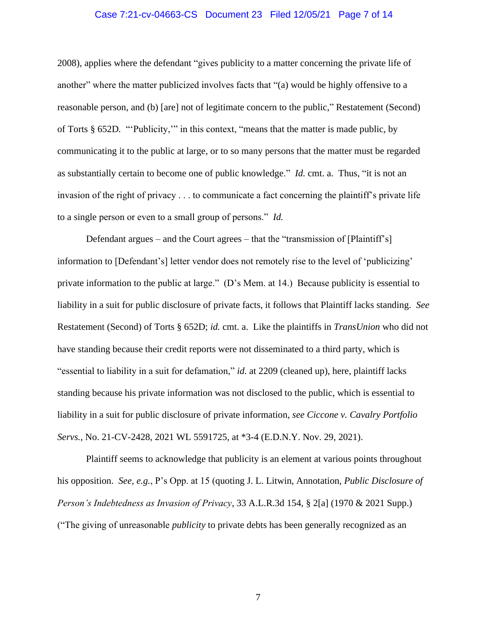# Case 7:21-cv-04663-CS Document 23 Filed 12/05/21 Page 7 of 14

2008), applies where the defendant "gives publicity to a matter concerning the private life of another" where the matter publicized involves facts that "(a) would be highly offensive to a reasonable person, and (b) [are] not of legitimate concern to the public," Restatement (Second) of Torts § 652D*.* "'Publicity,'" in this context, "means that the matter is made public, by communicating it to the public at large, or to so many persons that the matter must be regarded as substantially certain to become one of public knowledge." *Id.* cmt. a. Thus, "it is not an invasion of the right of privacy . . . to communicate a fact concerning the plaintiff's private life to a single person or even to a small group of persons." *Id.*

Defendant argues – and the Court agrees – that the "transmission of [Plaintiff's] information to [Defendant's] letter vendor does not remotely rise to the level of 'publicizing' private information to the public at large." (D's Mem. at 14.) Because publicity is essential to liability in a suit for public disclosure of private facts, it follows that Plaintiff lacks standing. *See* Restatement (Second) of Torts § 652D; *id.* cmt. a. Like the plaintiffs in *TransUnion* who did not have standing because their credit reports were not disseminated to a third party, which is "essential to liability in a suit for defamation," *id.* at 2209 (cleaned up), here, plaintiff lacks standing because his private information was not disclosed to the public, which is essential to liability in a suit for public disclosure of private information, *see Ciccone v. Cavalry Portfolio Servs.*, No. 21-CV-2428, 2021 WL 5591725, at \*3-4 (E.D.N.Y. Nov. 29, 2021).

Plaintiff seems to acknowledge that publicity is an element at various points throughout his opposition. *See, e.g.*, P's Opp. at 15 (quoting J. L. Litwin, Annotation, *Public Disclosure of Person's Indebtedness as Invasion of Privacy*, 33 A.L.R.3d 154, § 2[a] (1970 & 2021 Supp.) ("The giving of unreasonable *publicity* to private debts has been generally recognized as an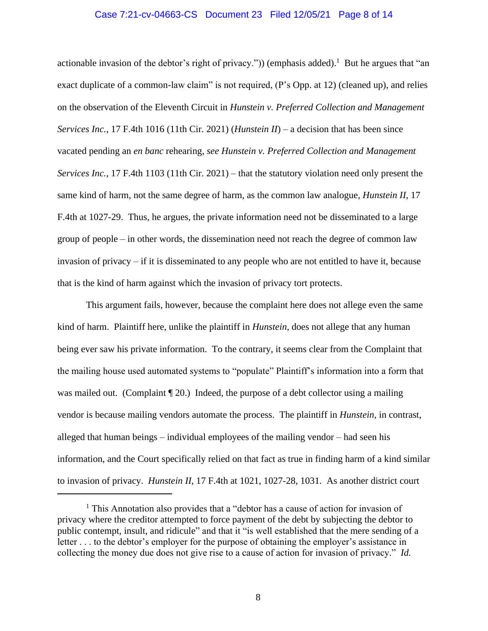# Case 7:21-cv-04663-CS Document 23 Filed 12/05/21 Page 8 of 14

actionable invasion of the debtor's right of privacy.")) (emphasis added).<sup>1</sup> But he argues that "an exact duplicate of a common-law claim" is not required, (P's Opp. at 12) (cleaned up), and relies on the observation of the Eleventh Circuit in *Hunstein v. Preferred Collection and Management Services Inc.*, 17 F.4th 1016 (11th Cir. 2021) (*Hunstein II*) – a decision that has been since vacated pending an *en banc* rehearing, *see Hunstein v. Preferred Collection and Management Services Inc.*, 17 F.4th 1103 (11th Cir. 2021) – that the statutory violation need only present the same kind of harm, not the same degree of harm, as the common law analogue, *Hunstein II*, 17 F.4th at 1027-29. Thus, he argues, the private information need not be disseminated to a large group of people – in other words, the dissemination need not reach the degree of common law invasion of privacy – if it is disseminated to any people who are not entitled to have it, because that is the kind of harm against which the invasion of privacy tort protects.

This argument fails, however, because the complaint here does not allege even the same kind of harm. Plaintiff here, unlike the plaintiff in *Hunstein*, does not allege that any human being ever saw his private information. To the contrary, it seems clear from the Complaint that the mailing house used automated systems to "populate" Plaintiff's information into a form that was mailed out. (Complaint  $\P$  20.) Indeed, the purpose of a debt collector using a mailing vendor is because mailing vendors automate the process. The plaintiff in *Hunstein*, in contrast, alleged that human beings – individual employees of the mailing vendor – had seen his information, and the Court specifically relied on that fact as true in finding harm of a kind similar to invasion of privacy. *Hunstein II*, 17 F.4th at 1021, 1027-28, 1031. As another district court

<sup>&</sup>lt;sup>1</sup> This Annotation also provides that a "debtor has a cause of action for invasion of privacy where the creditor attempted to force payment of the debt by subjecting the debtor to public contempt, insult, and ridicule" and that it "is well established that the mere sending of a letter . . . to the debtor's employer for the purpose of obtaining the employer's assistance in collecting the money due does not give rise to a cause of action for invasion of privacy." *Id.*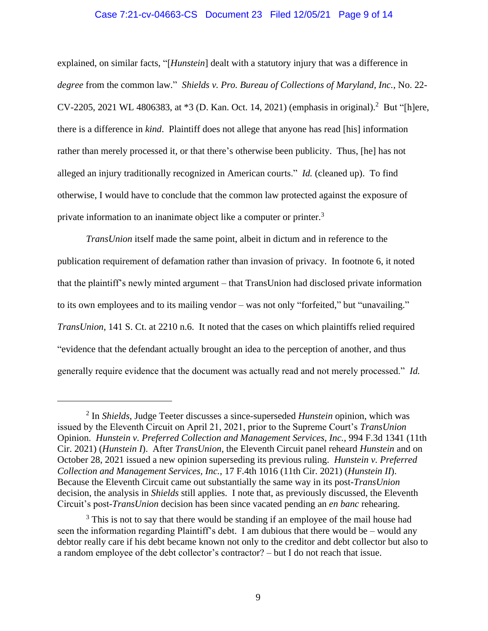# Case 7:21-cv-04663-CS Document 23 Filed 12/05/21 Page 9 of 14

explained, on similar facts, "[*Hunstein*] dealt with a statutory injury that was a difference in *degree* from the common law." *Shields v. Pro. Bureau of Collections of Maryland, Inc.*, No. 22- CV-2205, 2021 WL 4806383, at \*3 (D. Kan. Oct. 14, 2021) (emphasis in original).<sup>2</sup> But "[h]ere, there is a difference in *kind*. Plaintiff does not allege that anyone has read [his] information rather than merely processed it, or that there's otherwise been publicity. Thus, [he] has not alleged an injury traditionally recognized in American courts." *Id.* (cleaned up). To find otherwise, I would have to conclude that the common law protected against the exposure of private information to an inanimate object like a computer or printer.<sup>3</sup>

*TransUnion* itself made the same point, albeit in dictum and in reference to the publication requirement of defamation rather than invasion of privacy. In footnote 6, it noted that the plaintiff's newly minted argument – that TransUnion had disclosed private information to its own employees and to its mailing vendor – was not only "forfeited," but "unavailing." *TransUnion*, 141 S. Ct. at 2210 n.6. It noted that the cases on which plaintiffs relied required "evidence that the defendant actually brought an idea to the perception of another, and thus generally require evidence that the document was actually read and not merely processed." *Id.*

<sup>2</sup> In *Shields*, Judge Teeter discusses a since-superseded *Hunstein* opinion, which was issued by the Eleventh Circuit on April 21, 2021, prior to the Supreme Court's *TransUnion* Opinion. *Hunstein v. Preferred Collection and Management Services, Inc.*, 994 F.3d 1341 (11th Cir. 2021) (*Hunstein I*). After *TransUnion*, the Eleventh Circuit panel reheard *Hunstein* and on October 28, 2021 issued a new opinion superseding its previous ruling. *Hunstein v. Preferred Collection and Management Services, Inc.*, 17 F.4th 1016 (11th Cir. 2021) (*Hunstein II*). Because the Eleventh Circuit came out substantially the same way in its post-*TransUnion*  decision, the analysis in *Shields* still applies. I note that, as previously discussed, the Eleventh Circuit's post-*TransUnion* decision has been since vacated pending an *en banc* rehearing.

<sup>&</sup>lt;sup>3</sup> This is not to say that there would be standing if an employee of the mail house had seen the information regarding Plaintiff's debt. I am dubious that there would be – would any debtor really care if his debt became known not only to the creditor and debt collector but also to a random employee of the debt collector's contractor? – but I do not reach that issue.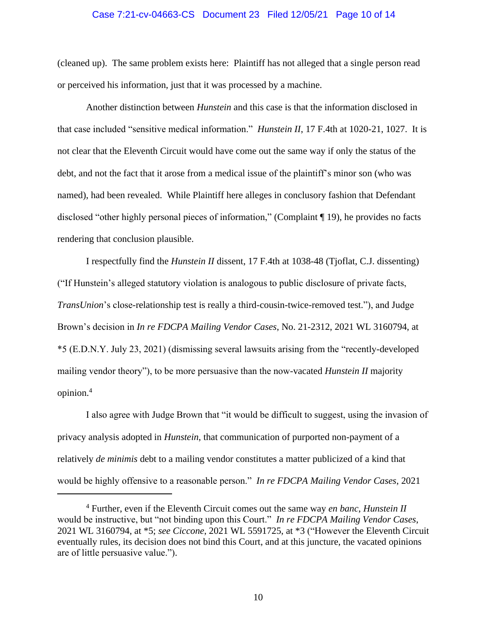# Case 7:21-cv-04663-CS Document 23 Filed 12/05/21 Page 10 of 14

(cleaned up). The same problem exists here: Plaintiff has not alleged that a single person read or perceived his information, just that it was processed by a machine.

Another distinction between *Hunstein* and this case is that the information disclosed in that case included "sensitive medical information." *Hunstein II*, 17 F.4th at 1020-21, 1027. It is not clear that the Eleventh Circuit would have come out the same way if only the status of the debt, and not the fact that it arose from a medical issue of the plaintiff's minor son (who was named), had been revealed. While Plaintiff here alleges in conclusory fashion that Defendant disclosed "other highly personal pieces of information," (Complaint ¶ 19), he provides no facts rendering that conclusion plausible.

I respectfully find the *Hunstein II* dissent, 17 F.4th at 1038-48 (Tjoflat, C.J. dissenting) ("If Hunstein's alleged statutory violation is analogous to public disclosure of private facts, *TransUnion*'s close-relationship test is really a third-cousin-twice-removed test."), and Judge Brown's decision in *In re FDCPA Mailing Vendor Cases*, No. 21-2312, 2021 WL 3160794, at \*5 (E.D.N.Y. July 23, 2021) (dismissing several lawsuits arising from the "recently-developed mailing vendor theory"), to be more persuasive than the now-vacated *Hunstein II* majority opinion.<sup>4</sup>

I also agree with Judge Brown that "it would be difficult to suggest, using the invasion of privacy analysis adopted in *Hunstein*, that communication of purported non-payment of a relatively *de minimis* debt to a mailing vendor constitutes a matter publicized of a kind that would be highly offensive to a reasonable person." *In re FDCPA Mailing Vendor Cases*, 2021

<sup>4</sup> Further, even if the Eleventh Circuit comes out the same way *en banc*, *Hunstein II* would be instructive, but "not binding upon this Court." *In re FDCPA Mailing Vendor Cases*, 2021 WL 3160794, at \*5; *see Ciccone*, 2021 WL 5591725, at \*3 ("However the Eleventh Circuit eventually rules, its decision does not bind this Court, and at this juncture, the vacated opinions are of little persuasive value.").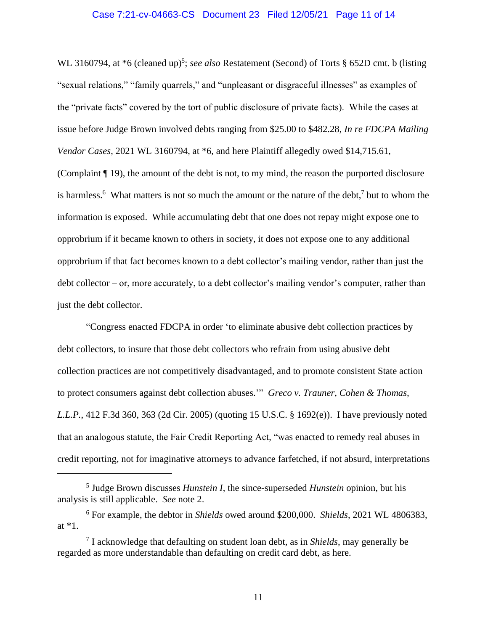# Case 7:21-cv-04663-CS Document 23 Filed 12/05/21 Page 11 of 14

WL 3160794, at \*6 (cleaned up)<sup>5</sup>; *see also* Restatement (Second) of Torts § 652D cmt. b (listing "sexual relations," "family quarrels," and "unpleasant or disgraceful illnesses" as examples of the "private facts" covered by the tort of public disclosure of private facts). While the cases at issue before Judge Brown involved debts ranging from \$25.00 to \$482.28, *In re FDCPA Mailing Vendor Cases*, 2021 WL 3160794, at \*6, and here Plaintiff allegedly owed \$14,715.61, (Complaint ¶ 19), the amount of the debt is not, to my mind, the reason the purported disclosure is harmless.<sup>6</sup> What matters is not so much the amount or the nature of the debt,<sup>7</sup> but to whom the information is exposed. While accumulating debt that one does not repay might expose one to opprobrium if it became known to others in society, it does not expose one to any additional opprobrium if that fact becomes known to a debt collector's mailing vendor, rather than just the

debt collector – or, more accurately, to a debt collector's mailing vendor's computer, rather than just the debt collector.

"Congress enacted FDCPA in order 'to eliminate abusive debt collection practices by debt collectors, to insure that those debt collectors who refrain from using abusive debt collection practices are not competitively disadvantaged, and to promote consistent State action to protect consumers against debt collection abuses.'" *Greco v. Trauner, Cohen & Thomas, L.L.P.*, 412 F.3d 360, 363 (2d Cir. 2005) (quoting 15 U.S.C. § 1692(e)). I have previously noted that an analogous statute, the Fair Credit Reporting Act, "was enacted to remedy real abuses in credit reporting, not for imaginative attorneys to advance farfetched, if not absurd, interpretations

<sup>5</sup> Judge Brown discusses *Hunstein I*, the since-superseded *Hunstein* opinion, but his analysis is still applicable. *See* note 2.

<sup>6</sup> For example, the debtor in *Shields* owed around \$200,000. *Shields*, 2021 WL 4806383, at \*1.

<sup>7</sup> I acknowledge that defaulting on student loan debt, as in *Shields*, may generally be regarded as more understandable than defaulting on credit card debt, as here.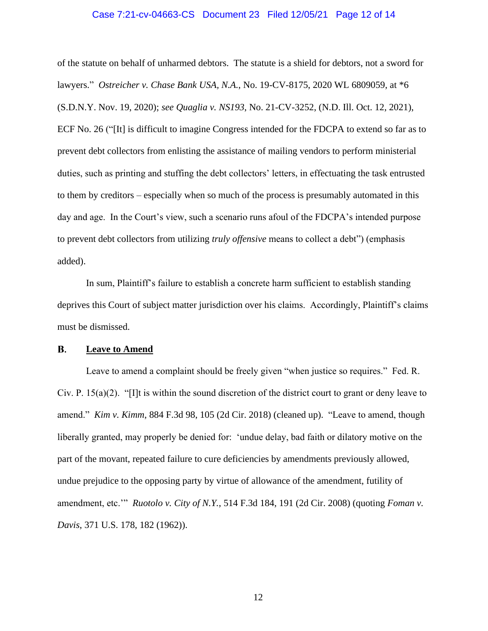# Case 7:21-cv-04663-CS Document 23 Filed 12/05/21 Page 12 of 14

of the statute on behalf of unharmed debtors. The statute is a shield for debtors, not a sword for lawyers." *Ostreicher v. Chase Bank USA, N.A.*, No. 19-CV-8175, 2020 WL 6809059, at \*6 (S.D.N.Y. Nov. 19, 2020); *see Quaglia v. NS193*, No. 21-CV-3252, (N.D. Ill. Oct. 12, 2021), ECF No. 26 ("[It] is difficult to imagine Congress intended for the FDCPA to extend so far as to prevent debt collectors from enlisting the assistance of mailing vendors to perform ministerial duties, such as printing and stuffing the debt collectors' letters, in effectuating the task entrusted to them by creditors – especially when so much of the process is presumably automated in this day and age. In the Court's view, such a scenario runs afoul of the FDCPA's intended purpose to prevent debt collectors from utilizing *truly offensive* means to collect a debt") (emphasis added).

In sum, Plaintiff's failure to establish a concrete harm sufficient to establish standing deprives this Court of subject matter jurisdiction over his claims. Accordingly, Plaintiff's claims must be dismissed.

#### **B. Leave to Amend**

Leave to amend a complaint should be freely given "when justice so requires." Fed. R. Civ. P.  $15(a)(2)$ . "[I]t is within the sound discretion of the district court to grant or deny leave to amend." *Kim v. Kimm*, 884 F.3d 98, 105 (2d Cir. 2018) (cleaned up). "Leave to amend, though liberally granted, may properly be denied for: 'undue delay, bad faith or dilatory motive on the part of the movant, repeated failure to cure deficiencies by amendments previously allowed, undue prejudice to the opposing party by virtue of allowance of the amendment, futility of amendment, etc.'" *Ruotolo v. City of N.Y.*, 514 F.3d 184, 191 (2d Cir. 2008) (quoting *Foman v. Davis*, 371 U.S. 178, 182 (1962)).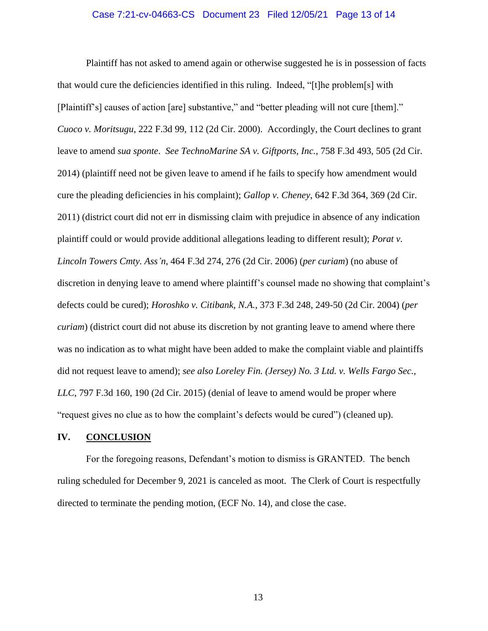# Case 7:21-cv-04663-CS Document 23 Filed 12/05/21 Page 13 of 14

Plaintiff has not asked to amend again or otherwise suggested he is in possession of facts that would cure the deficiencies identified in this ruling. Indeed, "[t]he problem[s] with [Plaintiff's] causes of action [are] substantive," and "better pleading will not cure [them]." *Cuoco v. Moritsugu*, 222 F.3d 99, 112 (2d Cir. 2000). Accordingly, the Court declines to grant leave to amend *sua sponte*. *See TechnoMarine SA v. Giftports, Inc.*, 758 F.3d 493, 505 (2d Cir. 2014) (plaintiff need not be given leave to amend if he fails to specify how amendment would cure the pleading deficiencies in his complaint); *Gallop v. Cheney*, 642 F.3d 364, 369 (2d Cir. 2011) (district court did not err in dismissing claim with prejudice in absence of any indication plaintiff could or would provide additional allegations leading to different result); *Porat v. Lincoln Towers Cmty. Ass'n*, 464 F.3d 274, 276 (2d Cir. 2006) (*per curiam*) (no abuse of discretion in denying leave to amend where plaintiff's counsel made no showing that complaint's defects could be cured); *Horoshko v. Citibank, N.A.*, 373 F.3d 248, 249-50 (2d Cir. 2004) (*per curiam*) (district court did not abuse its discretion by not granting leave to amend where there was no indication as to what might have been added to make the complaint viable and plaintiffs did not request leave to amend); *see also Loreley Fin. (Jersey) No. 3 Ltd. v. Wells Fargo Sec.*, *LLC*, 797 F.3d 160, 190 (2d Cir. 2015) (denial of leave to amend would be proper where "request gives no clue as to how the complaint's defects would be cured") (cleaned up).

# **IV. CONCLUSION**

For the foregoing reasons, Defendant's motion to dismiss is GRANTED. The bench ruling scheduled for December 9, 2021 is canceled as moot. The Clerk of Court is respectfully directed to terminate the pending motion, (ECF No. 14), and close the case.